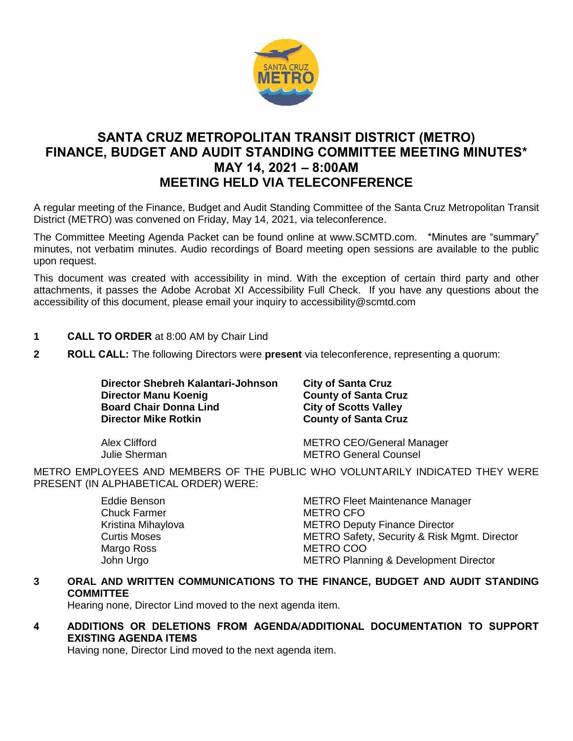

# **SANTA CRUZ METROPOLITAN TRANSIT DISTRICT (METRO) FINANCE, BUDGET AND AUDIT STANDING COMMITTEE MEETING MINUTES\* MAY 14, 2021 – 8:00AM MEETING HELD VIA TELECONFERENCE**

A regular meeting of the Finance, Budget and Audit Standing Committee of the Santa Cruz Metropolitan Transit District (METRO) was convened on Friday, May 14, 2021, via teleconference.

The Committee Meeting Agenda Packet can be found online at www.SCMTD.com. \*Minutes are "summary" minutes, not verbatim minutes. Audio recordings of Board meeting open sessions are available to the public upon request.

This document was created with accessibility in mind. With the exception of certain third party and other attachments, it passes the Adobe Acrobat XI Accessibility Full Check. If you have any questions about the accessibility of this document, please email your inquiry to accessibility@scmtd.com

- **1 CALL TO ORDER** at 8:00 AM by Chair Lind
- **2 ROLL CALL:** The following Directors were **present** via teleconference, representing a quorum:

**Director Shebreh Kalantari-Johnson City of Santa Cruz Director Manu Koenig**<br> **Board Chair Donna Lind**<br> **City of Scotts Valley Board Chair Donna Lind Director Mike Rotkin County of Santa Cruz** 

Alex Clifford METRO CEO/General Manager Julie Sherman METRO General Counsel

METRO EMPLOYEES AND MEMBERS OF THE PUBLIC WHO VOLUNTARILY INDICATED THEY WERE PRESENT (IN ALPHABETICAL ORDER) WERE:

| Eddie Benson        | <b>METRO Fleet Maintenance Manager</b>           |
|---------------------|--------------------------------------------------|
| <b>Chuck Farmer</b> | <b>METRO CFO</b>                                 |
| Kristina Mihaylova  | <b>METRO Deputy Finance Director</b>             |
| <b>Curtis Moses</b> | METRO Safety, Security & Risk Mgmt. Director     |
| Margo Ross          | METRO COO                                        |
| John Urgo           | <b>METRO Planning &amp; Development Director</b> |

# **3 ORAL AND WRITTEN COMMUNICATIONS TO THE FINANCE, BUDGET AND AUDIT STANDING COMMITTEE**

Hearing none, Director Lind moved to the next agenda item.

# **4 ADDITIONS OR DELETIONS FROM AGENDA/ADDITIONAL DOCUMENTATION TO SUPPORT EXISTING AGENDA ITEMS**

Having none, Director Lind moved to the next agenda item.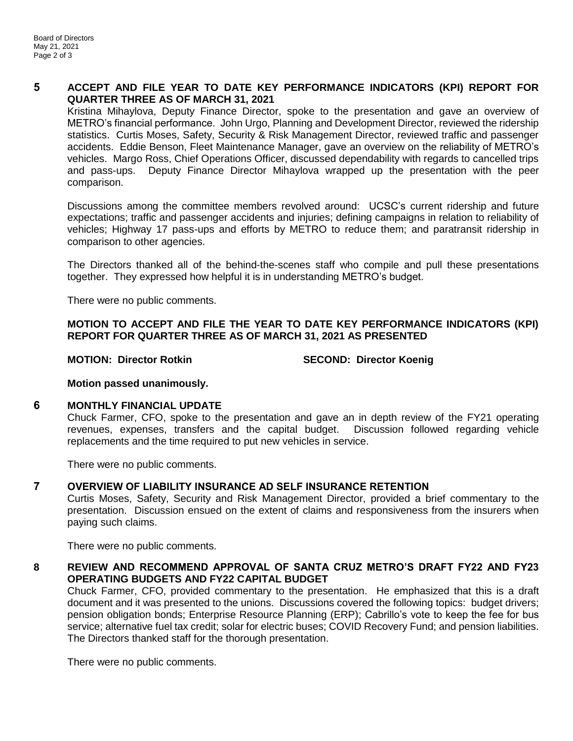## **5 ACCEPT AND FILE YEAR TO DATE KEY PERFORMANCE INDICATORS (KPI) REPORT FOR QUARTER THREE AS OF MARCH 31, 2021**

Kristina Mihaylova, Deputy Finance Director, spoke to the presentation and gave an overview of METRO's financial performance. John Urgo, Planning and Development Director, reviewed the ridership statistics. Curtis Moses, Safety, Security & Risk Management Director, reviewed traffic and passenger accidents. Eddie Benson, Fleet Maintenance Manager, gave an overview on the reliability of METRO's vehicles. Margo Ross, Chief Operations Officer, discussed dependability with regards to cancelled trips and pass-ups. Deputy Finance Director Mihaylova wrapped up the presentation with the peer comparison.

Discussions among the committee members revolved around: UCSC's current ridership and future expectations; traffic and passenger accidents and injuries; defining campaigns in relation to reliability of vehicles; Highway 17 pass-ups and efforts by METRO to reduce them; and paratransit ridership in comparison to other agencies.

The Directors thanked all of the behind-the-scenes staff who compile and pull these presentations together. They expressed how helpful it is in understanding METRO's budget.

There were no public comments.

**MOTION TO ACCEPT AND FILE THE YEAR TO DATE KEY PERFORMANCE INDICATORS (KPI) REPORT FOR QUARTER THREE AS OF MARCH 31, 2021 AS PRESENTED**

**MOTION: Director Rotkin SECOND: Director Koenig**

**Motion passed unanimously.**

#### **6 MONTHLY FINANCIAL UPDATE**

Chuck Farmer, CFO, spoke to the presentation and gave an in depth review of the FY21 operating revenues, expenses, transfers and the capital budget. Discussion followed regarding vehicle replacements and the time required to put new vehicles in service.

There were no public comments.

#### **7 OVERVIEW OF LIABILITY INSURANCE AD SELF INSURANCE RETENTION**

Curtis Moses, Safety, Security and Risk Management Director, provided a brief commentary to the presentation. Discussion ensued on the extent of claims and responsiveness from the insurers when paying such claims.

There were no public comments.

## **8 REVIEW AND RECOMMEND APPROVAL OF SANTA CRUZ METRO'S DRAFT FY22 AND FY23 OPERATING BUDGETS AND FY22 CAPITAL BUDGET**

Chuck Farmer, CFO, provided commentary to the presentation. He emphasized that this is a draft document and it was presented to the unions. Discussions covered the following topics: budget drivers; pension obligation bonds; Enterprise Resource Planning (ERP); Cabrillo's vote to keep the fee for bus service; alternative fuel tax credit; solar for electric buses; COVID Recovery Fund; and pension liabilities. The Directors thanked staff for the thorough presentation.

There were no public comments.